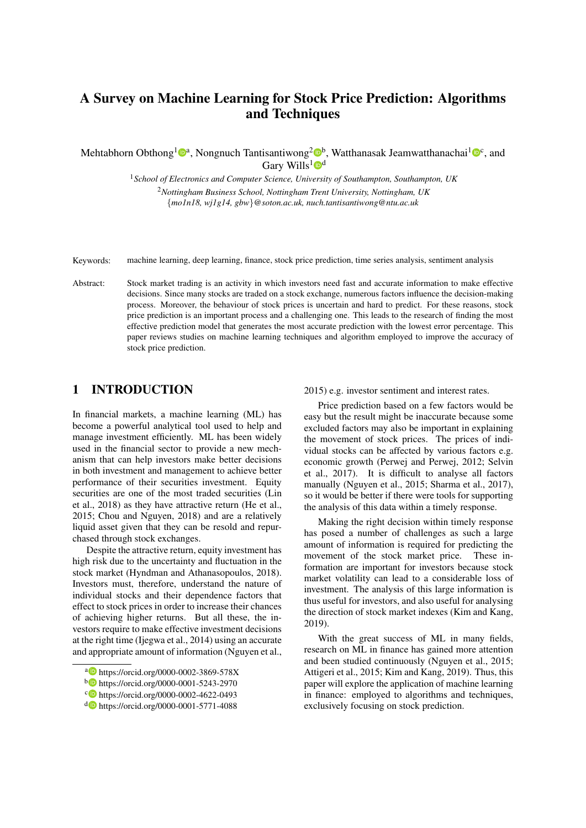# A Survey on Machine Learning for Stock Price Prediction: Algorithms and Techniques

Mehtabhorn Obthong<sup>1</sup><sup>®</sup>, Nongnuch Tantisantiwong<sup>2</sup>®<sup>b</sup>, Watthanasak Jeamwatthanachai<sup>1</sup>®°, and Gary Wills<sup>1</sup> $\mathbf{D}^d$ 

> <sup>1</sup>*School of Electronics and Computer Science, University of Southampton, Southampton, UK* <sup>2</sup>*Nottingham Business School, Nottingham Trent University, Nottingham, UK* {*mo1n18, wj1g14, gbw*}*@soton.ac.uk, nuch.tantisantiwong@ntu.ac.uk*

- Keywords: machine learning, deep learning, finance, stock price prediction, time series analysis, sentiment analysis
- Abstract: Stock market trading is an activity in which investors need fast and accurate information to make effective decisions. Since many stocks are traded on a stock exchange, numerous factors influence the decision-making process. Moreover, the behaviour of stock prices is uncertain and hard to predict. For these reasons, stock price prediction is an important process and a challenging one. This leads to the research of finding the most effective prediction model that generates the most accurate prediction with the lowest error percentage. This paper reviews studies on machine learning techniques and algorithm employed to improve the accuracy of stock price prediction.

# 1 INTRODUCTION

In financial markets, a machine learning (ML) has become a powerful analytical tool used to help and manage investment efficiently. ML has been widely used in the financial sector to provide a new mechanism that can help investors make better decisions in both investment and management to achieve better performance of their securities investment. Equity securities are one of the most traded securities (Lin et al., 2018) as they have attractive return (He et al., 2015; Chou and Nguyen, 2018) and are a relatively liquid asset given that they can be resold and repurchased through stock exchanges.

Despite the attractive return, equity investment has high risk due to the uncertainty and fluctuation in the stock market (Hyndman and Athanasopoulos, 2018). Investors must, therefore, understand the nature of individual stocks and their dependence factors that effect to stock prices in order to increase their chances of achieving higher returns. But all these, the investors require to make effective investment decisions at the right time (Ijegwa et al., 2014) using an accurate and appropriate amount of information (Nguyen et al., 2015) e.g. investor sentiment and interest rates.

Price prediction based on a few factors would be easy but the result might be inaccurate because some excluded factors may also be important in explaining the movement of stock prices. The prices of individual stocks can be affected by various factors e.g. economic growth (Perwej and Perwej, 2012; Selvin et al., 2017). It is difficult to analyse all factors manually (Nguyen et al., 2015; Sharma et al., 2017), so it would be better if there were tools for supporting the analysis of this data within a timely response.

Making the right decision within timely response has posed a number of challenges as such a large amount of information is required for predicting the movement of the stock market price. These information are important for investors because stock market volatility can lead to a considerable loss of investment. The analysis of this large information is thus useful for investors, and also useful for analysing the direction of stock market indexes (Kim and Kang, 2019).

With the great success of ML in many fields, research on ML in finance has gained more attention and been studied continuously (Nguyen et al., 2015; Attigeri et al., 2015; Kim and Kang, 2019). Thus, this paper will explore the application of machine learning in finance: employed to algorithms and techniques, exclusively focusing on stock prediction.

a https://orcid.org/0000-0002-3869-578X

<sup>b</sup> https://orcid.org/0000-0001-5243-2970

c https://orcid.org/0000-0002-4622-0493

<sup>d</sup> https://orcid.org/0000-0001-5771-4088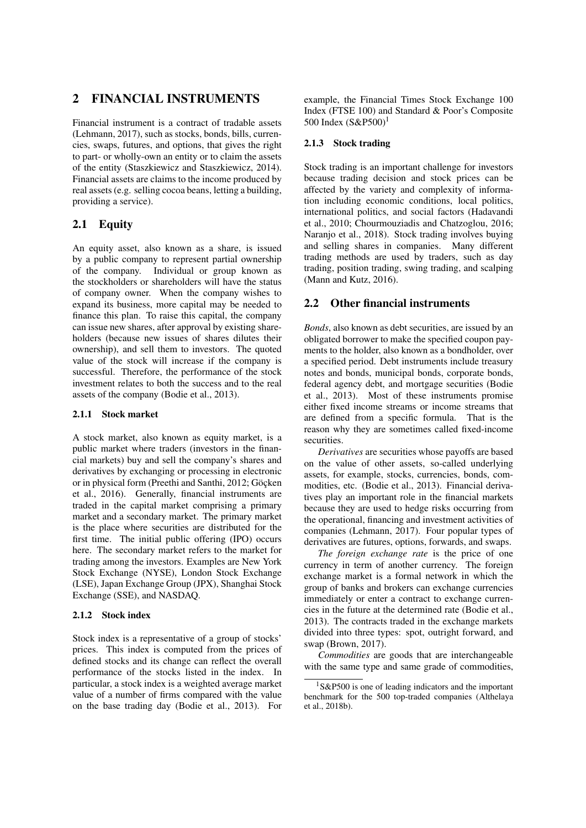### 2 FINANCIAL INSTRUMENTS

Financial instrument is a contract of tradable assets (Lehmann, 2017), such as stocks, bonds, bills, currencies, swaps, futures, and options, that gives the right to part- or wholly-own an entity or to claim the assets of the entity (Staszkiewicz and Staszkiewicz, 2014). Financial assets are claims to the income produced by real assets (e.g. selling cocoa beans, letting a building, providing a service).

#### 2.1 Equity

An equity asset, also known as a share, is issued by a public company to represent partial ownership of the company. Individual or group known as the stockholders or shareholders will have the status of company owner. When the company wishes to expand its business, more capital may be needed to finance this plan. To raise this capital, the company can issue new shares, after approval by existing shareholders (because new issues of shares dilutes their ownership), and sell them to investors. The quoted value of the stock will increase if the company is successful. Therefore, the performance of the stock investment relates to both the success and to the real assets of the company (Bodie et al., 2013).

#### 2.1.1 Stock market

A stock market, also known as equity market, is a public market where traders (investors in the financial markets) buy and sell the company's shares and derivatives by exchanging or processing in electronic or in physical form (Preethi and Santhi, 2012; Göcken et al., 2016). Generally, financial instruments are traded in the capital market comprising a primary market and a secondary market. The primary market is the place where securities are distributed for the first time. The initial public offering (IPO) occurs here. The secondary market refers to the market for trading among the investors. Examples are New York Stock Exchange (NYSE), London Stock Exchange (LSE), Japan Exchange Group (JPX), Shanghai Stock Exchange (SSE), and NASDAQ.

#### 2.1.2 Stock index

Stock index is a representative of a group of stocks' prices. This index is computed from the prices of defined stocks and its change can reflect the overall performance of the stocks listed in the index. In particular, a stock index is a weighted average market value of a number of firms compared with the value on the base trading day (Bodie et al., 2013). For example, the Financial Times Stock Exchange 100 Index (FTSE 100) and Standard & Poor's Composite 500 Index (S&P500)<sup>1</sup>

#### 2.1.3 Stock trading

Stock trading is an important challenge for investors because trading decision and stock prices can be affected by the variety and complexity of information including economic conditions, local politics, international politics, and social factors (Hadavandi et al., 2010; Chourmouziadis and Chatzoglou, 2016; Naranjo et al., 2018). Stock trading involves buying and selling shares in companies. Many different trading methods are used by traders, such as day trading, position trading, swing trading, and scalping (Mann and Kutz, 2016).

#### 2.2 Other financial instruments

*Bonds*, also known as debt securities, are issued by an obligated borrower to make the specified coupon payments to the holder, also known as a bondholder, over a specified period. Debt instruments include treasury notes and bonds, municipal bonds, corporate bonds, federal agency debt, and mortgage securities (Bodie et al., 2013). Most of these instruments promise either fixed income streams or income streams that are defined from a specific formula. That is the reason why they are sometimes called fixed-income securities.

*Derivatives* are securities whose payoffs are based on the value of other assets, so-called underlying assets, for example, stocks, currencies, bonds, commodities, etc. (Bodie et al., 2013). Financial derivatives play an important role in the financial markets because they are used to hedge risks occurring from the operational, financing and investment activities of companies (Lehmann, 2017). Four popular types of derivatives are futures, options, forwards, and swaps.

*The foreign exchange rate* is the price of one currency in term of another currency. The foreign exchange market is a formal network in which the group of banks and brokers can exchange currencies immediately or enter a contract to exchange currencies in the future at the determined rate (Bodie et al., 2013). The contracts traded in the exchange markets divided into three types: spot, outright forward, and swap (Brown, 2017).

*Commodities* are goods that are interchangeable with the same type and same grade of commodities,

 $1$ S&P500 is one of leading indicators and the important benchmark for the 500 top-traded companies (Althelaya et al., 2018b).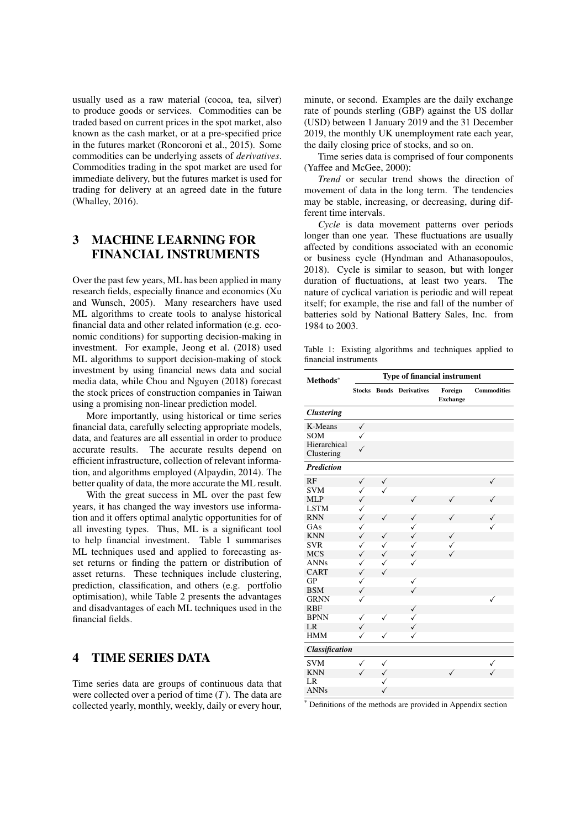usually used as a raw material (cocoa, tea, silver) to produce goods or services. Commodities can be traded based on current prices in the spot market, also known as the cash market, or at a pre-specified price in the futures market (Roncoroni et al., 2015). Some commodities can be underlying assets of *derivatives*. Commodities trading in the spot market are used for immediate delivery, but the futures market is used for trading for delivery at an agreed date in the future (Whalley, 2016).

# 3 MACHINE LEARNING FOR FINANCIAL INSTRUMENTS

Over the past few years, ML has been applied in many research fields, especially finance and economics (Xu and Wunsch, 2005). Many researchers have used ML algorithms to create tools to analyse historical financial data and other related information (e.g. economic conditions) for supporting decision-making in investment. For example, Jeong et al. (2018) used ML algorithms to support decision-making of stock investment by using financial news data and social media data, while Chou and Nguyen (2018) forecast the stock prices of construction companies in Taiwan using a promising non-linear prediction model.

More importantly, using historical or time series financial data, carefully selecting appropriate models, data, and features are all essential in order to produce accurate results. The accurate results depend on efficient infrastructure, collection of relevant information, and algorithms employed (Alpaydin, 2014). The better quality of data, the more accurate the ML result.

With the great success in ML over the past few years, it has changed the way investors use information and it offers optimal analytic opportunities for of all investing types. Thus, ML is a significant tool to help financial investment. Table 1 summarises ML techniques used and applied to forecasting asset returns or finding the pattern or distribution of asset returns. These techniques include clustering, prediction, classification, and others (e.g. portfolio optimisation), while Table 2 presents the advantages and disadvantages of each ML techniques used in the financial fields.

#### 4 TIME SERIES DATA

Time series data are groups of continuous data that were collected over a period of time (*T*). The data are collected yearly, monthly, weekly, daily or every hour,

minute, or second. Examples are the daily exchange rate of pounds sterling (GBP) against the US dollar (USD) between 1 January 2019 and the 31 December 2019, the monthly UK unemployment rate each year, the daily closing price of stocks, and so on.

Time series data is comprised of four components (Yaffee and McGee, 2000):

*Trend* or secular trend shows the direction of movement of data in the long term. The tendencies may be stable, increasing, or decreasing, during different time intervals.

*Cycle* is data movement patterns over periods longer than one year. These fluctuations are usually affected by conditions associated with an economic or business cycle (Hyndman and Athanasopoulos, 2018). Cycle is similar to season, but with longer duration of fluctuations, at least two years. The nature of cyclical variation is periodic and will repeat itself; for example, the rise and fall of the number of batteries sold by National Battery Sales, Inc. from 1984 to 2003.

Table 1: Existing algorithms and techniques applied to financial instruments

| Methods*                   |              |              | Type of financial instrument    |                            |                    |
|----------------------------|--------------|--------------|---------------------------------|----------------------------|--------------------|
|                            |              |              | <b>Stocks Bonds Derivatives</b> | Foreign<br><b>Exchange</b> | <b>Commodities</b> |
| <b>Clustering</b>          |              |              |                                 |                            |                    |
| K-Means                    | $\checkmark$ |              |                                 |                            |                    |
| <b>SOM</b>                 | $\checkmark$ |              |                                 |                            |                    |
| Hierarchical<br>Clustering | $\checkmark$ |              |                                 |                            |                    |
| <b>Prediction</b>          |              |              |                                 |                            |                    |
| RF                         | $\checkmark$ | $\checkmark$ |                                 |                            | $\checkmark$       |
| <b>SVM</b>                 | $\checkmark$ | $\checkmark$ |                                 |                            |                    |
| <b>MLP</b>                 | $\checkmark$ |              | $\checkmark$                    | ✓                          | ✓                  |
| <b>LSTM</b>                | ✓            |              |                                 |                            |                    |
| <b>RNN</b>                 | ✓            | ✓            | ✓                               | ✓                          | ✓                  |
| GAs                        | $\checkmark$ |              | ✓                               |                            | ✓                  |
| <b>KNN</b>                 | ✓            | ✓            | $\checkmark$                    | ✓                          |                    |
| <b>SVR</b>                 | ✓            | ✓            | ✓                               | ✓                          |                    |
| <b>MCS</b>                 | ✓            | $\checkmark$ | $\checkmark$                    | ✓                          |                    |
| <b>ANNs</b>                | ✓            | ✓            | ✓                               |                            |                    |
| <b>CART</b>                | ✓            | $\checkmark$ |                                 |                            |                    |
| <b>GP</b>                  | ✓            |              | ✓                               |                            |                    |
| <b>BSM</b>                 | $\checkmark$ |              | $\checkmark$                    |                            |                    |
| <b>GRNN</b>                | $\checkmark$ |              |                                 |                            | $\checkmark$       |
| <b>RBF</b>                 |              |              | $\checkmark$                    |                            |                    |
| <b>BPNN</b>                | ✓            | ✓            | $\checkmark$                    |                            |                    |
| LR                         | $\checkmark$ |              | $\checkmark$                    |                            |                    |
| <b>HMM</b>                 | ✓            | ✓            | ✓                               |                            |                    |
| <b>Classification</b>      |              |              |                                 |                            |                    |
| <b>SVM</b>                 | ✓            | ✓            |                                 |                            | ✓                  |
| <b>KNN</b>                 | ✓            | $\checkmark$ |                                 | $\checkmark$               | $\checkmark$       |
| LR                         |              | ✓            |                                 |                            |                    |
| <b>ANNs</b>                |              | ✓            |                                 |                            |                    |

\* Definitions of the methods are provided in Appendix section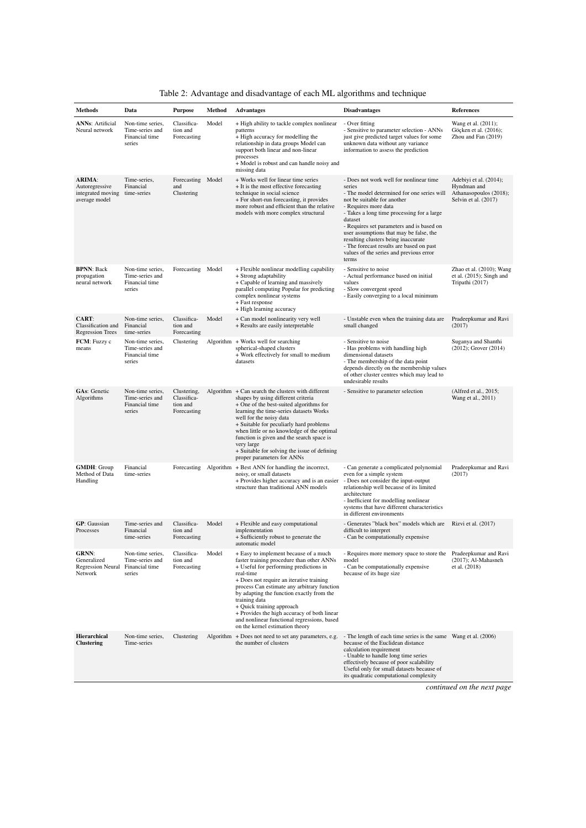| <b>Methods</b>                                                        | Data                                                            | <b>Purpose</b>                                        | Method | <b>Advantages</b>                                                                                                                                                                                                                                                                                                                                                                                                                                                | <b>Disadvantages</b>                                                                                                                                                                                                                                                                                                                                                                                                                           | References                                                                              |
|-----------------------------------------------------------------------|-----------------------------------------------------------------|-------------------------------------------------------|--------|------------------------------------------------------------------------------------------------------------------------------------------------------------------------------------------------------------------------------------------------------------------------------------------------------------------------------------------------------------------------------------------------------------------------------------------------------------------|------------------------------------------------------------------------------------------------------------------------------------------------------------------------------------------------------------------------------------------------------------------------------------------------------------------------------------------------------------------------------------------------------------------------------------------------|-----------------------------------------------------------------------------------------|
| <b>ANNs: Artificial</b><br>Neural network                             | Non-time series,<br>Time-series and<br>Financial time<br>series | Classifica-<br>tion and<br>Forecasting                | Model  | + High ability to tackle complex nonlinear<br>patterns<br>+ High accuracy for modelling the<br>relationship in data groups Model can<br>support both linear and non-linear<br>processes<br>+ Model is robust and can handle noisy and<br>missing data                                                                                                                                                                                                            | - Over fitting<br>- Sensitive to parameter selection - ANNs<br>just give predicted target values for some<br>unknown data without any variance<br>information to assess the prediction                                                                                                                                                                                                                                                         | Wang et al. (2011);<br>Göçken et al. (2016);<br>Zhou and Fan (2019)                     |
| <b>ARIMA:</b><br>Autoregressive<br>integrated moving<br>average model | Time-series,<br>Financial<br>time-series                        | Forecasting Model<br>and<br>Clustering                |        | + Works well for linear time series<br>+ It is the most effective forecasting<br>technique in social science<br>+ For short-run forecasting, it provides<br>more robust and efficient than the relative<br>models with more complex structural                                                                                                                                                                                                                   | - Does not work well for nonlinear time<br>series<br>- The model determined for one series will<br>not be suitable for another<br>- Requires more data<br>- Takes a long time processing for a large<br>dataset<br>- Requires set parameters and is based on<br>user assumptions that may be false, the<br>resulting clusters being inaccurate<br>- The forecast results are based on past<br>values of the series and previous error<br>terms | Adebiyi et al. (2014);<br>Hyndman and<br>Athanasopoulos (2018);<br>Selvin et al. (2017) |
| <b>BPNN: Back</b><br>propagation<br>neural network                    | Non-time series,<br>Time-series and<br>Financial time<br>series | Forecasting Model                                     |        | + Flexible nonlinear modelling capability<br>+ Strong adaptability<br>+ Capable of learning and massively<br>parallel computing Popular for predicting<br>complex nonlinear systems<br>+ Fast response<br>+ High learning accuracy                                                                                                                                                                                                                               | - Sensitive to noise<br>- Actual performance based on initial<br>values<br>- Slow convergent speed<br>- Easily converging to a local minimum                                                                                                                                                                                                                                                                                                   | Zhao et al. (2010); Wang<br>et al. $(2015)$ ; Singh and<br>Tripathi (2017)              |
| <b>CART:</b><br>Classification and<br><b>Regression Trees</b>         | Non-time series,<br>Financial<br>time-series                    | Classifica-<br>tion and<br>Forecasting                | Model  | + Can model nonlinearity very well<br>+ Results are easily interpretable                                                                                                                                                                                                                                                                                                                                                                                         | - Unstable even when the training data are<br>small changed                                                                                                                                                                                                                                                                                                                                                                                    | Pradeepkumar and Ravi<br>(2017)                                                         |
| FCM: Fuzzy c<br>means                                                 | Non-time series,<br>Time-series and<br>Financial time<br>series | Clustering                                            |        | Algorithm $+$ Works well for searching<br>spherical-shaped clusters<br>+ Work effectively for small to medium<br>datasets                                                                                                                                                                                                                                                                                                                                        | - Sensitive to noise<br>- Has problems with handling high<br>dimensional datasets<br>- The membership of the data point<br>depends directly on the membership values<br>of other cluster centres which may lead to<br>undesirable results                                                                                                                                                                                                      | Suganya and Shanthi<br>(2012); Grover (2014)                                            |
| <b>GAs: Genetic</b><br>Algorithms                                     | Non-time series,<br>Time-series and<br>Financial time<br>series | Clustering,<br>Classifica-<br>tion and<br>Forecasting |        | Algorithm $+$ Can search the clusters with different<br>shapes by using different criteria<br>+ One of the best-suited algorithms for<br>learning the time-series datasets Works<br>well for the noisy data<br>+ Suitable for peculiarly hard problems<br>when little or no knowledge of the optimal<br>function is given and the search space is<br>very large<br>+ Suitable for solving the issue of defining<br>proper parameters for ANNs                    | - Sensitive to parameter selection                                                                                                                                                                                                                                                                                                                                                                                                             | (Alfred et al., 2015;<br>Wang et al., 2011)                                             |
| <b>GMDH: Group</b><br>Method of Data<br>Handling                      | Financial<br>time-series                                        |                                                       |        | Forecasting Algorithm + Best ANN for handling the incorrect,<br>noisy, or small datasets<br>+ Provides higher accuracy and is an easier<br>structure than traditional ANN models                                                                                                                                                                                                                                                                                 | - Can generate a complicated polynomial<br>even for a simple system<br>- Does not consider the input-output<br>relationship well because of its limited<br>architecture<br>- Inefficient for modelling nonlinear<br>systems that have different characteristics<br>in different environments                                                                                                                                                   | Pradeepkumar and Ravi<br>(2017)                                                         |
| <b>GP</b> : Gaussian<br>Processes                                     | Time-series and<br>Financial<br>time-series                     | Classifica-<br>tion and<br>Forecasting                | Model  | + Flexible and easy computational<br>implementation<br>+ Sufficiently robust to generate the<br>automatic model                                                                                                                                                                                                                                                                                                                                                  | - Generates "black box" models which are<br>difficult to interpret<br>- Can be computationally expensive                                                                                                                                                                                                                                                                                                                                       | Rizvi et al. (2017)                                                                     |
| <b>GRNN:</b><br>Generalized<br><b>Regression Neural</b><br>Network    | Non-time series,<br>Time-series and<br>Financial time<br>series | Classifica-<br>tion and<br>Forecasting                | Model  | + Easy to implement because of a much<br>faster training procedure than other ANNs<br>+ Useful for performing predictions in<br>real-time<br>+ Does not require an iterative training<br>process Can estimate any arbitrary function<br>by adapting the function exactly from the<br>training data<br>+ Quick training approach<br>+ Provides the high accuracy of both linear<br>and nonlinear functional regressions, based<br>on the kernel estimation theory | - Requires more memory space to store the Pradeepkumar and Ravi<br>model<br>- Can be computationally expensive<br>because of its huge size                                                                                                                                                                                                                                                                                                     | $(2017)$ ; Al-Mahasneh<br>et al. (2018)                                                 |
| <b>Hierarchical</b><br><b>Clustering</b>                              | Non-time series,<br>Time-series                                 | Clustering                                            |        | Algorithm + Does not need to set any parameters, e.g.<br>the number of clusters                                                                                                                                                                                                                                                                                                                                                                                  | - The length of each time series is the same Wang et al. (2006)<br>because of the Euclidean distance<br>calculation requirement<br>- Unable to handle long time series<br>effectively because of poor scalability<br>Useful only for small datasets because of<br>its quadratic computational complexity                                                                                                                                       |                                                                                         |
|                                                                       |                                                                 |                                                       |        |                                                                                                                                                                                                                                                                                                                                                                                                                                                                  |                                                                                                                                                                                                                                                                                                                                                                                                                                                | continued on the next page                                                              |

| Table 2: Advantage and disadvantage of each ML algorithms and technique |
|-------------------------------------------------------------------------|
|-------------------------------------------------------------------------|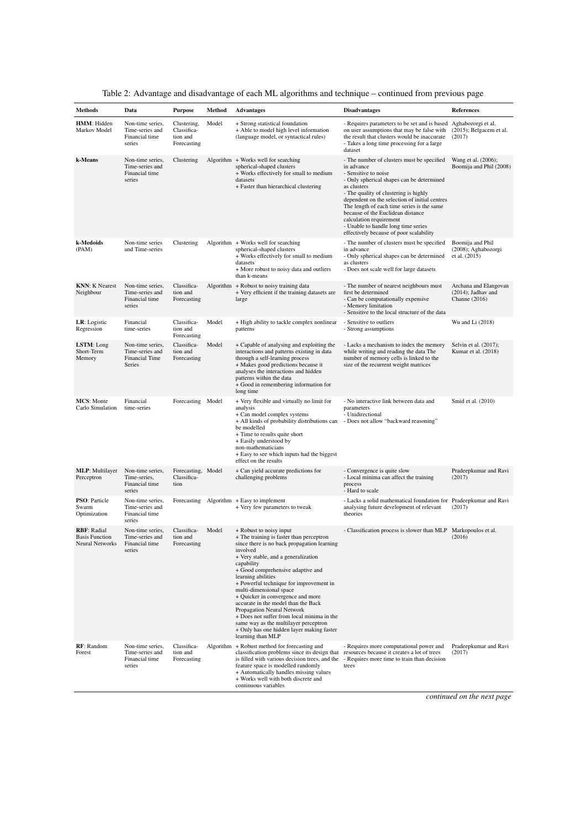| <b>Methods</b>                                                 | Data                                                            | <b>Purpose</b>                                        | Method | <b>Advantages</b>                                                                                                                                                                                                                                                                                                                                                                                                                                                                                                                                                                       | <b>Disadvantages</b>                                                                                                                                                                                                                                                                                                                                                                                                                   | References                                                        |
|----------------------------------------------------------------|-----------------------------------------------------------------|-------------------------------------------------------|--------|-----------------------------------------------------------------------------------------------------------------------------------------------------------------------------------------------------------------------------------------------------------------------------------------------------------------------------------------------------------------------------------------------------------------------------------------------------------------------------------------------------------------------------------------------------------------------------------------|----------------------------------------------------------------------------------------------------------------------------------------------------------------------------------------------------------------------------------------------------------------------------------------------------------------------------------------------------------------------------------------------------------------------------------------|-------------------------------------------------------------------|
| HMM: Hidden<br>Markov Model                                    | Non-time series,<br>Time-series and<br>Financial time<br>series | Clustering,<br>Classifica-<br>tion and<br>Forecasting | Model  | + Strong statistical foundation<br>+ Able to model high level information<br>(language model, or syntactical rules)                                                                                                                                                                                                                                                                                                                                                                                                                                                                     | - Requires parameters to be set and is based Aghabozorgi et al.<br>on user assumptions that may be false with<br>the result that clusters would be inaccurate<br>- Takes a long time processing for a large<br>dataset                                                                                                                                                                                                                 | $(2015)$ ; Belgacem et al.<br>(2017)                              |
| k-Means                                                        | Non-time series,<br>Time-series and<br>Financial time<br>series | Clustering                                            |        | Algorithm $+$ Works well for searching<br>spherical-shaped clusters<br>+ Works effectively for small to medium<br>datasets<br>+ Faster than hierarchical clustering                                                                                                                                                                                                                                                                                                                                                                                                                     | - The number of clusters must be specified<br>in advance<br>- Sensitive to noise<br>- Only spherical shapes can be determined<br>as clusters<br>- The quality of clustering is highly<br>dependent on the selection of initial centres<br>The length of each time series is the same<br>because of the Euclidean distance<br>calculation requirement<br>- Unable to handle long time series<br>effectively because of poor scalability | Wang et al. (2006);<br>Boomija and Phil (2008)                    |
| k-Medoids<br>(PAM)                                             | Non-time series<br>and Time-series                              | Clustering                                            |        | Algorithm + Works well for searching<br>spherical-shaped clusters<br>+ Works effectively for small to medium<br>datasets<br>+ More robust to noisy data and outliers<br>than k-means                                                                                                                                                                                                                                                                                                                                                                                                    | - The number of clusters must be specified<br>in advance<br>- Only spherical shapes can be determined<br>as clusters<br>- Does not scale well for large datasets                                                                                                                                                                                                                                                                       | Boomija and Phil<br>(2008); Aghabozorgi<br>et al. (2015)          |
| <b>KNN:</b> K Nearest<br>Neighbour                             | Non-time series,<br>Time-series and<br>Financial time<br>series | Classifica-<br>tion and<br>Forecasting                |        | Algorithm $+$ Robust to noisy training data<br>+ Very efficient if the training datasets are<br>large                                                                                                                                                                                                                                                                                                                                                                                                                                                                                   | - The number of nearest neighbours must<br>first be determined<br>- Can be computationally expensive<br>- Memory limitation<br>- Sensitive to the local structure of the data                                                                                                                                                                                                                                                          | Archana and Elangovan<br>$(2014)$ ; Jadhav and<br>Channe $(2016)$ |
| LR: Logistic<br>Regression                                     | Financial<br>time-series                                        | Classifica-<br>tion and<br>Forecasting                | Model  | + High ability to tackle complex nonlinear<br>patterns                                                                                                                                                                                                                                                                                                                                                                                                                                                                                                                                  | - Sensitive to outliers<br>- Strong assumptions                                                                                                                                                                                                                                                                                                                                                                                        | Wu and Li (2018)                                                  |
| LSTM: Long<br>Short-Term<br>Memory                             | Non-time series,<br>Time-series and<br>Financial Time<br>Series | Classifica-<br>tion and<br>Forecasting                | Model  | + Capable of analysing and exploiting the<br>interactions and patterns existing in data<br>through a self-learning process<br>+ Makes good predictions because it<br>analyses the interactions and hidden<br>patterns within the data<br>+ Good in remembering information for<br>long time                                                                                                                                                                                                                                                                                             | - Lacks a mechanism to index the memory<br>while writing and reading the data The<br>number of memory cells is linked to the<br>size of the recurrent weight matrices                                                                                                                                                                                                                                                                  | Selvin et al. (2017);<br>Kumar et al. (2018)                      |
| <b>MCS:</b> Monte<br>Carlo Simulation                          | Financial<br>time-series                                        | Forecasting Model                                     |        | + Very flexible and virtually no limit for<br>analysis<br>+ Can model complex systems<br>+ All kinds of probability distributions can<br>be modelled<br>+ Time to results quite short<br>+ Easily understood by<br>non-mathematicians<br>+ Easy to see which inputs had the biggest<br>effect on the results                                                                                                                                                                                                                                                                            | - No interactive link between data and<br>parameters<br>- Unidirectional<br>- Does not allow "backward reasoning"                                                                                                                                                                                                                                                                                                                      | Smid et al. (2010)                                                |
| <b>MLP:</b> Multilayer<br>Perceptron                           | Non-time series,<br>Time-series,<br>Financial time<br>series    | Forecasting, Model<br>Classifica-<br>tion             |        | + Can yield accurate predictions for<br>challenging problems                                                                                                                                                                                                                                                                                                                                                                                                                                                                                                                            | - Convergence is quite slow<br>- Local minima can affect the training<br>process<br>- Hard to scale                                                                                                                                                                                                                                                                                                                                    | Pradeepkumar and Ravi<br>(2017)                                   |
| PSO: Particle<br>Swarm<br>Optimization                         | Non-time series,<br>Time-series and<br>Financial time<br>series | Forecasting                                           |        | Algorithm $+$ Easy to implement<br>+ Very few parameters to tweak                                                                                                                                                                                                                                                                                                                                                                                                                                                                                                                       | - Lacks a solid mathematical foundation for Pradeepkumar and Ravi<br>analysing future development of relevant<br>theories                                                                                                                                                                                                                                                                                                              | (2017)                                                            |
| <b>RBF: Radial</b><br><b>Basis Function</b><br>Neural Networks | Non-time series.<br>Time-series and<br>Financial time<br>series | Classifica-<br>tion and<br>Forecasting                | Model  | + Robust to noisy input<br>+ The training is faster than perceptron<br>since there is no back propagation learning<br>involved<br>+ Very stable, and a generalization<br>capability<br>+ Good comprehensive adaptive and<br>learning abilities<br>+ Powerful technique for improvement in<br>multi-dimensional space<br>+ Quicker in convergence and more<br>accurate in the model than the Back<br>Propagation Neural Network<br>+ Does not suffer from local minima in the<br>same way as the multilayer perceptron<br>+ Only has one hidden layer making faster<br>learning than MLP | - Classification process is slower than MLP Markopoulos et al.                                                                                                                                                                                                                                                                                                                                                                         | (2016)                                                            |
| RF: Random<br>Forest                                           | Non-time series.<br>Time-series and<br>Financial time<br>series | Classifica-<br>tion and<br>Forecasting                |        | Algorithm + Robust method for forecasting and<br>classification problems since its design that<br>is filled with various decision trees, and the<br>feature space is modelled randomly<br>+ Automatically handles missing values<br>+ Works well with both discrete and<br>continuous variables                                                                                                                                                                                                                                                                                         | - Requires more computational power and<br>resources because it creates a lot of trees<br>- Requires more time to train than decision<br>trees                                                                                                                                                                                                                                                                                         | Pradeepkumar and Ravi<br>(2017)                                   |

|  | Table 2: Advantage and disadvantage of each ML algorithms and technique – continued from previous page |  |  |
|--|--------------------------------------------------------------------------------------------------------|--|--|
|  |                                                                                                        |  |  |

*continued on the next page*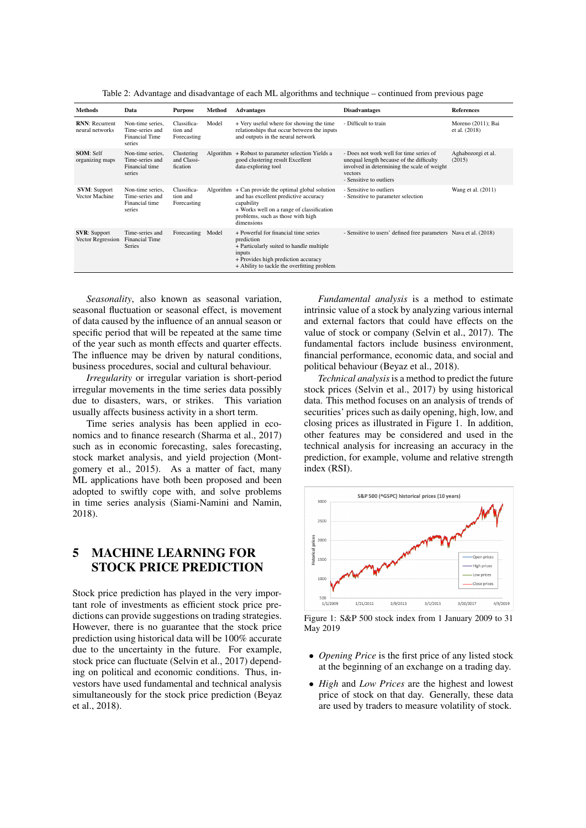Table 2: Advantage and disadvantage of each ML algorithms and technique – continued from previous page

| Methods                                  | Data                                                                   | <b>Purpose</b>                         | Method | <b>Advantages</b>                                                                                                                                                                                            | <b>Disadvantages</b>                                                                                                                                                     | <b>References</b>                   |
|------------------------------------------|------------------------------------------------------------------------|----------------------------------------|--------|--------------------------------------------------------------------------------------------------------------------------------------------------------------------------------------------------------------|--------------------------------------------------------------------------------------------------------------------------------------------------------------------------|-------------------------------------|
| <b>RNN: Recurrent</b><br>neural networks | Non-time series,<br>Time-series and<br><b>Financial Time</b><br>series | Classifica-<br>tion and<br>Forecasting | Model  | + Very useful where for showing the time<br>relationships that occur between the inputs<br>and outputs in the neural network                                                                                 | - Difficult to train                                                                                                                                                     | Moreno (2011); Bai<br>et al. (2018) |
| <b>SOM: Self</b><br>organizing maps      | Non-time series.<br>Time-series and<br>Financial time<br>series        | Clustering<br>and Classi-<br>fication  |        | Algorithm + Robust to parameter selection Yields a<br>good clustering result Excellent<br>data-exploring tool                                                                                                | - Does not work well for time series of<br>unequal length because of the difficulty<br>involved in determining the scale of weight<br>vectors<br>- Sensitive to outliers | Aghabozorgi et al.<br>(2015)        |
| <b>SVM: Support</b><br>Vector Machine    | Non-time series,<br>Time-series and<br>Financial time<br>series        | Classifica-<br>tion and<br>Forecasting |        | Algorithm $+$ Can provide the optimal global solution<br>and has excellent predictive accuracy<br>capability<br>+ Works well on a range of classification<br>problems, such as those with high<br>dimensions | - Sensitive to outliers<br>- Sensitive to parameter selection                                                                                                            | Wang et al. (2011)                  |
| <b>SVR:</b> Support<br>Vector Regression | Time-series and<br><b>Financial Time</b><br><b>Series</b>              | Forecasting                            | Model  | + Powerful for financial time series<br>prediction<br>+ Particularly suited to handle multiple<br>inputs<br>+ Provides high prediction accuracy<br>+ Ability to tackle the overfitting problem               | - Sensitive to users' defined free parameters Nava et al. (2018)                                                                                                         |                                     |

*Seasonality*, also known as seasonal variation, seasonal fluctuation or seasonal effect, is movement of data caused by the influence of an annual season or specific period that will be repeated at the same time of the year such as month effects and quarter effects. The influence may be driven by natural conditions, business procedures, social and cultural behaviour.

*Irregularity* or irregular variation is short-period irregular movements in the time series data possibly due to disasters, wars, or strikes. This variation usually affects business activity in a short term.

Time series analysis has been applied in economics and to finance research (Sharma et al., 2017) such as in economic forecasting, sales forecasting, stock market analysis, and yield projection (Montgomery et al., 2015). As a matter of fact, many ML applications have both been proposed and been adopted to swiftly cope with, and solve problems in time series analysis (Siami-Namini and Namin, 2018).

# 5 MACHINE LEARNING FOR STOCK PRICE PREDICTION

Stock price prediction has played in the very important role of investments as efficient stock price predictions can provide suggestions on trading strategies. However, there is no guarantee that the stock price prediction using historical data will be 100% accurate due to the uncertainty in the future. For example, stock price can fluctuate (Selvin et al., 2017) depending on political and economic conditions. Thus, investors have used fundamental and technical analysis simultaneously for the stock price prediction (Beyaz et al., 2018).

*Fundamental analysis* is a method to estimate intrinsic value of a stock by analyzing various internal and external factors that could have effects on the value of stock or company (Selvin et al., 2017). The fundamental factors include business environment, financial performance, economic data, and social and political behaviour (Beyaz et al., 2018).

*Technical analysis*is a method to predict the future stock prices (Selvin et al., 2017) by using historical data. This method focuses on an analysis of trends of securities' prices such as daily opening, high, low, and closing prices as illustrated in Figure 1. In addition, other features may be considered and used in the technical analysis for increasing an accuracy in the prediction, for example, volume and relative strength index (RSI).



Figure 1: S&P 500 stock index from 1 January 2009 to 31 May 2019

- *Opening Price* is the first price of any listed stock at the beginning of an exchange on a trading day.
- *High* and *Low Prices* are the highest and lowest price of stock on that day. Generally, these data are used by traders to measure volatility of stock.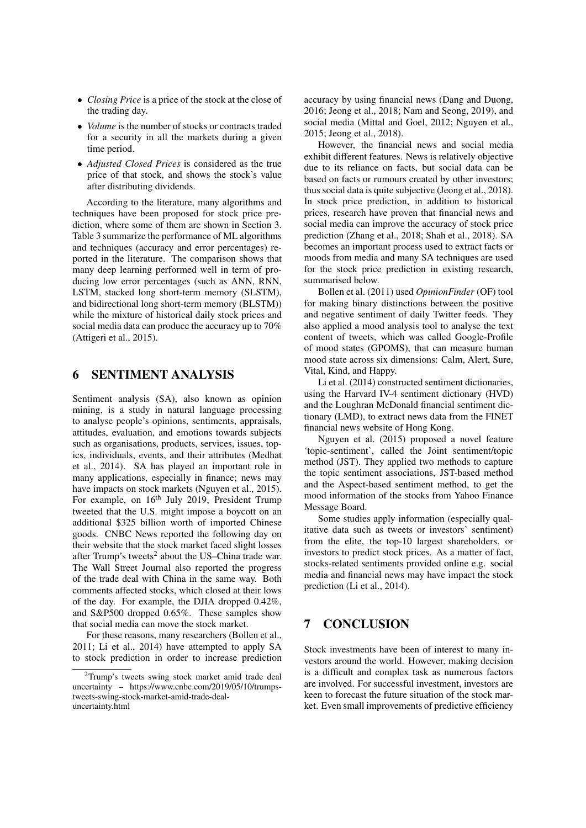- *Closing Price* is a price of the stock at the close of the trading day.
- *Volume* is the number of stocks or contracts traded for a security in all the markets during a given time period.
- *Adjusted Closed Prices* is considered as the true price of that stock, and shows the stock's value after distributing dividends.

According to the literature, many algorithms and techniques have been proposed for stock price prediction, where some of them are shown in Section 3. Table 3 summarize the performance of ML algorithms and techniques (accuracy and error percentages) reported in the literature. The comparison shows that many deep learning performed well in term of producing low error percentages (such as ANN, RNN, LSTM, stacked long short-term memory (SLSTM), and bidirectional long short-term memory (BLSTM)) while the mixture of historical daily stock prices and social media data can produce the accuracy up to 70% (Attigeri et al., 2015).

### 6 SENTIMENT ANALYSIS

Sentiment analysis (SA), also known as opinion mining, is a study in natural language processing to analyse people's opinions, sentiments, appraisals, attitudes, evaluation, and emotions towards subjects such as organisations, products, services, issues, topics, individuals, events, and their attributes (Medhat et al., 2014). SA has played an important role in many applications, especially in finance; news may have impacts on stock markets (Nguyen et al., 2015). For example, on 16<sup>th</sup> July 2019, President Trump tweeted that the U.S. might impose a boycott on an additional \$325 billion worth of imported Chinese goods. CNBC News reported the following day on their website that the stock market faced slight losses after Trump's tweets<sup>2</sup> about the US-China trade war. The Wall Street Journal also reported the progress of the trade deal with China in the same way. Both comments affected stocks, which closed at their lows of the day. For example, the DJIA dropped 0.42%, and S&P500 dropped 0.65%. These samples show that social media can move the stock market.

For these reasons, many researchers (Bollen et al., 2011; Li et al., 2014) have attempted to apply SA to stock prediction in order to increase prediction accuracy by using financial news (Dang and Duong, 2016; Jeong et al., 2018; Nam and Seong, 2019), and social media (Mittal and Goel, 2012; Nguyen et al., 2015; Jeong et al., 2018).

However, the financial news and social media exhibit different features. News is relatively objective due to its reliance on facts, but social data can be based on facts or rumours created by other investors; thus social data is quite subjective (Jeong et al., 2018). In stock price prediction, in addition to historical prices, research have proven that financial news and social media can improve the accuracy of stock price prediction (Zhang et al., 2018; Shah et al., 2018). SA becomes an important process used to extract facts or moods from media and many SA techniques are used for the stock price prediction in existing research, summarised below.

Bollen et al. (2011) used *OpinionFinder* (OF) tool for making binary distinctions between the positive and negative sentiment of daily Twitter feeds. They also applied a mood analysis tool to analyse the text content of tweets, which was called Google-Profile of mood states (GPOMS), that can measure human mood state across six dimensions: Calm, Alert, Sure, Vital, Kind, and Happy.

Li et al. (2014) constructed sentiment dictionaries, using the Harvard IV-4 sentiment dictionary (HVD) and the Loughran McDonald financial sentiment dictionary (LMD), to extract news data from the FINET financial news website of Hong Kong.

Nguyen et al. (2015) proposed a novel feature 'topic-sentiment', called the Joint sentiment/topic method (JST). They applied two methods to capture the topic sentiment associations, JST-based method and the Aspect-based sentiment method, to get the mood information of the stocks from Yahoo Finance Message Board.

Some studies apply information (especially qualitative data such as tweets or investors' sentiment) from the elite, the top-10 largest shareholders, or investors to predict stock prices. As a matter of fact, stocks-related sentiments provided online e.g. social media and financial news may have impact the stock prediction (Li et al., 2014).

# 7 CONCLUSION

Stock investments have been of interest to many investors around the world. However, making decision is a difficult and complex task as numerous factors are involved. For successful investment, investors are keen to forecast the future situation of the stock market. Even small improvements of predictive efficiency

<sup>&</sup>lt;sup>2</sup>Trump's tweets swing stock market amid trade deal uncertainty – https://www.cnbc.com/2019/05/10/trumpstweets-swing-stock-market-amid-trade-dealuncertainty.html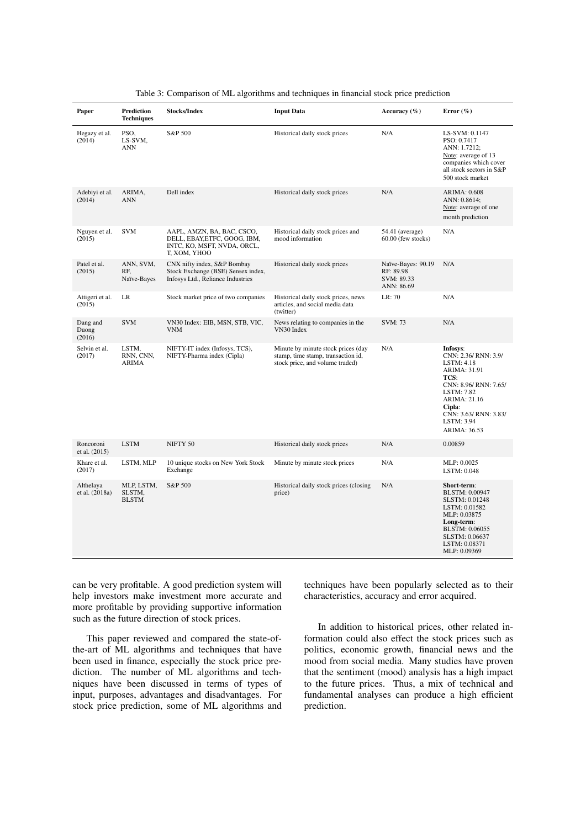| Paper                       | Prediction<br><b>Techniques</b>      | <b>Stocks/Index</b>                                                                                       | <b>Input Data</b>                                                                                           | Accuracy $(\% )$                                            | Error $(\% )$                                                                                                                                                                                  |
|-----------------------------|--------------------------------------|-----------------------------------------------------------------------------------------------------------|-------------------------------------------------------------------------------------------------------------|-------------------------------------------------------------|------------------------------------------------------------------------------------------------------------------------------------------------------------------------------------------------|
| Hegazy et al.<br>(2014)     | PSO,<br>LS-SVM,<br>ANN               | S&P 500                                                                                                   | Historical daily stock prices                                                                               | N/A                                                         | LS-SVM: 0.1147<br>PSO: 0.7417<br>ANN: 1.7212;<br>Note: average of 13<br>companies which cover<br>all stock sectors in S&P<br>500 stock market                                                  |
| Adebiyi et al.<br>(2014)    | ARIMA,<br><b>ANN</b>                 | Dell index                                                                                                | Historical daily stock prices                                                                               | N/A                                                         | <b>ARIMA: 0.608</b><br>ANN: 0.8614;<br>Note: average of one<br>month prediction                                                                                                                |
| Nguyen et al.<br>(2015)     | <b>SVM</b>                           | AAPL, AMZN, BA, BAC, CSCO,<br>DELL, EBAY, ETFC, GOOG, IBM,<br>INTC, KO, MSFT, NVDA, ORCL,<br>T, XOM, YHOO | Historical daily stock prices and<br>mood information                                                       | 54.41 (average)<br>60.00 (few stocks)                       | N/A                                                                                                                                                                                            |
| Patel et al.<br>(2015)      | ANN, SVM,<br>RF.<br>Naïve-Bayes      | CNX nifty index, S&P Bombay<br>Stock Exchange (BSE) Sensex index,<br>Infosys Ltd., Reliance Industries    | Historical daily stock prices                                                                               | Naïve-Bayes: 90.19<br>RF: 89.98<br>SVM: 89.33<br>ANN: 86.69 | N/A                                                                                                                                                                                            |
| Attigeri et al.<br>(2015)   | LR                                   | Stock market price of two companies                                                                       | Historical daily stock prices, news<br>articles, and social media data<br>(twitter)                         | LR: 70                                                      | N/A                                                                                                                                                                                            |
| Dang and<br>Duong<br>(2016) | <b>SVM</b>                           | VN30 Index: EIB, MSN, STB, VIC,<br><b>VNM</b>                                                             | News relating to companies in the<br>VN30 Index                                                             | SVM: 73                                                     | N/A                                                                                                                                                                                            |
| Selvin et al.<br>(2017)     | LSTM,<br>RNN, CNN,<br><b>ARIMA</b>   | NIFTY-IT index (Infosys, TCS),<br>NIFTY-Pharma index (Cipla)                                              | Minute by minute stock prices (day<br>stamp, time stamp, transaction id,<br>stock price, and volume traded) | N/A                                                         | Infosys:<br>CNN: 2.36/ RNN: 3.9/<br>LSTM: 4.18<br>ARIMA: 31.91<br>TCS:<br>CNN: 8.96/ RNN: 7.65/<br>LSTM: 7.82<br>ARIMA: 21.16<br>Cipla:<br>CNN: 3.63/ RNN: 3.83/<br>LSTM: 3.94<br>ARIMA: 36.53 |
| Roncoroni<br>et al. (2015)  | <b>LSTM</b>                          | NIFTY 50                                                                                                  | Historical daily stock prices                                                                               | N/A                                                         | 0.00859                                                                                                                                                                                        |
| Khare et al.<br>(2017)      | LSTM, MLP                            | 10 unique stocks on New York Stock<br>Exchange                                                            | Minute by minute stock prices                                                                               | N/A                                                         | MLP: 0.0025<br>LSTM: 0.048                                                                                                                                                                     |
| Althelaya<br>et al. (2018a) | MLP, LSTM,<br>SLSTM,<br><b>BLSTM</b> | S&P 500                                                                                                   | Historical daily stock prices (closing<br>price)                                                            | N/A                                                         | Short-term:<br>BLSTM: 0.00947<br>SLSTM: 0.01248<br>LSTM: 0.01582<br>MLP: 0.03875<br>Long-term:<br>BLSTM: 0.06055<br>SLSTM: 0.06637<br>LSTM: 0.08371<br>MLP: 0.09369                            |

|  | Table 3: Comparison of ML algorithms and techniques in financial stock price prediction |  |  |
|--|-----------------------------------------------------------------------------------------|--|--|
|  |                                                                                         |  |  |

can be very profitable. A good prediction system will help investors make investment more accurate and more profitable by providing supportive information such as the future direction of stock prices.

This paper reviewed and compared the state-ofthe-art of ML algorithms and techniques that have been used in finance, especially the stock price prediction. The number of ML algorithms and techniques have been discussed in terms of types of input, purposes, advantages and disadvantages. For stock price prediction, some of ML algorithms and techniques have been popularly selected as to their characteristics, accuracy and error acquired.

In addition to historical prices, other related information could also effect the stock prices such as politics, economic growth, financial news and the mood from social media. Many studies have proven that the sentiment (mood) analysis has a high impact to the future prices. Thus, a mix of technical and fundamental analyses can produce a high efficient prediction.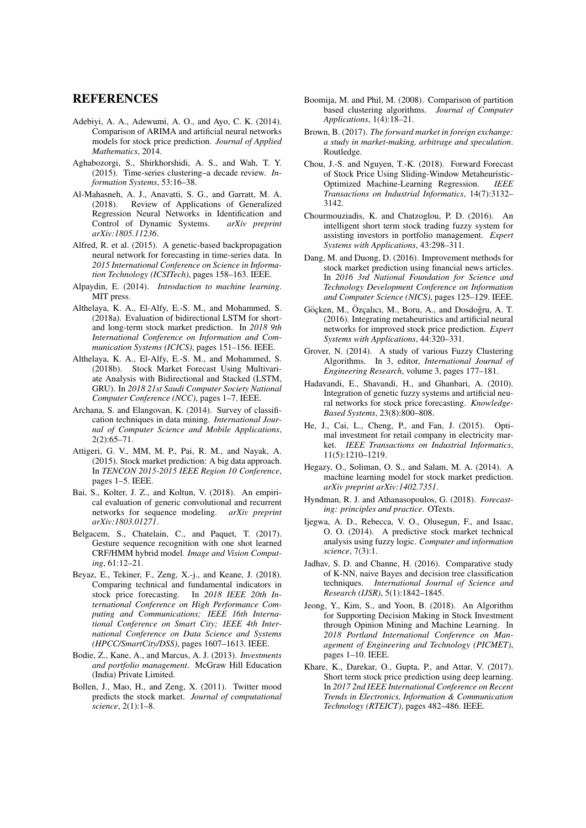#### REFERENCES

- Adebiyi, A. A., Adewumi, A. O., and Ayo, C. K. (2014). Comparison of ARIMA and artificial neural networks models for stock price prediction. *Journal of Applied Mathematics*, 2014.
- Aghabozorgi, S., Shirkhorshidi, A. S., and Wah, T. Y. (2015). Time-series clustering–a decade review. *Information Systems*, 53:16–38.
- Al-Mahasneh, A. J., Anavatti, S. G., and Garratt, M. A. (2018). Review of Applications of Generalized Regression Neural Networks in Identification and<br>Control of Dynamic Systems. arXiv preprint Control of Dynamic Systems. *arXiv:1805.11236*.
- Alfred, R. et al. (2015). A genetic-based backpropagation neural network for forecasting in time-series data. In *2015 International Conference on Science in Information Technology (ICSITech)*, pages 158–163. IEEE.
- Alpaydin, E. (2014). *Introduction to machine learning*. MIT press.
- Althelaya, K. A., El-Alfy, E.-S. M., and Mohammed, S. (2018a). Evaluation of bidirectional LSTM for shortand long-term stock market prediction. In *2018 9th International Conference on Information and Communication Systems (ICICS)*, pages 151–156. IEEE.
- Althelaya, K. A., El-Alfy, E.-S. M., and Mohammed, S. (2018b). Stock Market Forecast Using Multivariate Analysis with Bidirectional and Stacked (LSTM, GRU). In *2018 21st Saudi Computer Society National Computer Conference (NCC)*, pages 1–7. IEEE.
- Archana, S. and Elangovan, K. (2014). Survey of classification techniques in data mining. *International Journal of Computer Science and Mobile Applications*, 2(2):65–71.
- Attigeri, G. V., MM, M. P., Pai, R. M., and Nayak, A. (2015). Stock market prediction: A big data approach. In *TENCON 2015-2015 IEEE Region 10 Conference*, pages 1–5. IEEE.
- Bai, S., Kolter, J. Z., and Koltun, V. (2018). An empirical evaluation of generic convolutional and recurrent networks for sequence modeling. *arXiv preprint arXiv:1803.01271*.
- Belgacem, S., Chatelain, C., and Paquet, T. (2017). Gesture sequence recognition with one shot learned CRF/HMM hybrid model. *Image and Vision Computing*, 61:12–21.
- Beyaz, E., Tekiner, F., Zeng, X.-j., and Keane, J. (2018). Comparing technical and fundamental indicators in stock price forecasting. In *2018 IEEE 20th International Conference on High Performance Computing and Communications; IEEE 16th International Conference on Smart City; IEEE 4th International Conference on Data Science and Systems (HPCC/SmartCity/DSS)*, pages 1607–1613. IEEE.
- Bodie, Z., Kane, A., and Marcus, A. J. (2013). *Investments and portfolio management*. McGraw Hill Education (India) Private Limited.
- Bollen, J., Mao, H., and Zeng, X. (2011). Twitter mood predicts the stock market. *Journal of computational science*, 2(1):1–8.
- Boomija, M. and Phil, M. (2008). Comparison of partition based clustering algorithms. *Journal of Computer Applications*, 1(4):18–21.
- Brown, B. (2017). *The forward market in foreign exchange: a study in market-making, arbitrage and speculation*. Routledge.
- Chou, J.-S. and Nguyen, T.-K. (2018). Forward Forecast of Stock Price Using Sliding-Window Metaheuristic-Optimized Machine-Learning Regression. *IEEE Transactions on Industrial Informatics*, 14(7):3132– 3142.
- Chourmouziadis, K. and Chatzoglou, P. D. (2016). An intelligent short term stock trading fuzzy system for assisting investors in portfolio management. *Expert Systems with Applications*, 43:298–311.
- Dang, M. and Duong, D. (2016). Improvement methods for stock market prediction using financial news articles. In *2016 3rd National Foundation for Science and Technology Development Conference on Information and Computer Science (NICS)*, pages 125–129. IEEE.
- Göcken, M., Özcalıcı, M., Boru, A., and Dosdoğru, A. T. (2016). Integrating metaheuristics and artificial neural networks for improved stock price prediction. *Expert Systems with Applications*, 44:320–331.
- Grover, N. (2014). A study of various Fuzzy Clustering Algorithms. In 3, editor, *International Journal of Engineering Research*, volume 3, pages 177–181.
- Hadavandi, E., Shavandi, H., and Ghanbari, A. (2010). Integration of genetic fuzzy systems and artificial neural networks for stock price forecasting. *Knowledge-Based Systems*, 23(8):800–808.
- He, J., Cai, L., Cheng, P., and Fan, J. (2015). Optimal investment for retail company in electricity market. *IEEE Transactions on Industrial Informatics*, 11(5):1210–1219.
- Hegazy, O., Soliman, O. S., and Salam, M. A. (2014). A machine learning model for stock market prediction. *arXiv preprint arXiv:1402.7351*.
- Hyndman, R. J. and Athanasopoulos, G. (2018). *Forecasting: principles and practice*. OTexts.
- Ijegwa, A. D., Rebecca, V. O., Olusegun, F., and Isaac, O. O. (2014). A predictive stock market technical analysis using fuzzy logic. *Computer and information science*, 7(3):1.
- Jadhav, S. D. and Channe, H. (2016). Comparative study of K-NN, naive Bayes and decision tree classification techniques. *International Journal of Science and Research (IJSR)*, 5(1):1842–1845.
- Jeong, Y., Kim, S., and Yoon, B. (2018). An Algorithm for Supporting Decision Making in Stock Investment through Opinion Mining and Machine Learning. In *2018 Portland International Conference on Management of Engineering and Technology (PICMET)*, pages 1–10. IEEE.
- Khare, K., Darekar, O., Gupta, P., and Attar, V. (2017). Short term stock price prediction using deep learning. In *2017 2nd IEEE International Conference on Recent Trends in Electronics, Information & Communication Technology (RTEICT)*, pages 482–486. IEEE.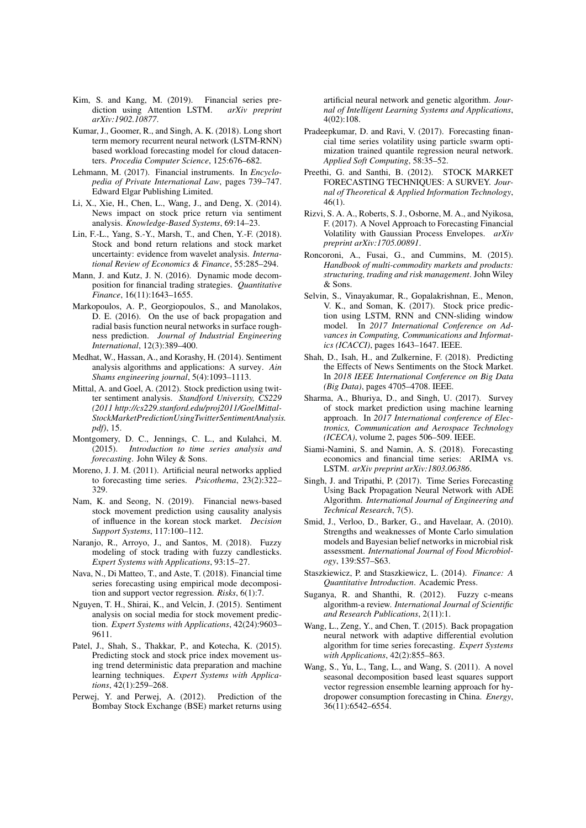- Kim, S. and Kang, M. (2019). Financial series prediction using Attention LSTM. *arXiv preprint arXiv:1902.10877*.
- Kumar, J., Goomer, R., and Singh, A. K. (2018). Long short term memory recurrent neural network (LSTM-RNN) based workload forecasting model for cloud datacenters. *Procedia Computer Science*, 125:676–682.
- Lehmann, M. (2017). Financial instruments. In *Encyclopedia of Private International Law*, pages 739–747. Edward Elgar Publishing Limited.
- Li, X., Xie, H., Chen, L., Wang, J., and Deng, X. (2014). News impact on stock price return via sentiment analysis. *Knowledge-Based Systems*, 69:14–23.
- Lin, F.-L., Yang, S.-Y., Marsh, T., and Chen, Y.-F. (2018). Stock and bond return relations and stock market uncertainty: evidence from wavelet analysis. *International Review of Economics & Finance*, 55:285–294.
- Mann, J. and Kutz, J. N. (2016). Dynamic mode decomposition for financial trading strategies. *Quantitative Finance*, 16(11):1643–1655.
- Markopoulos, A. P., Georgiopoulos, S., and Manolakos, D. E. (2016). On the use of back propagation and radial basis function neural networks in surface roughness prediction. *Journal of Industrial Engineering International*, 12(3):389–400.
- Medhat, W., Hassan, A., and Korashy, H. (2014). Sentiment analysis algorithms and applications: A survey. *Ain Shams engineering journal*, 5(4):1093–1113.
- Mittal, A. and Goel, A. (2012). Stock prediction using twitter sentiment analysis. *Standford University, CS229 (2011 http://cs229.stanford.edu/proj2011/GoelMittal-StockMarketPredictionUsingTwitterSentimentAnalysis. pdf)*, 15.
- Montgomery, D. C., Jennings, C. L., and Kulahci, M. (2015). *Introduction to time series analysis and forecasting*. John Wiley & Sons.
- Moreno, J. J. M. (2011). Artificial neural networks applied to forecasting time series. *Psicothema*, 23(2):322– 329.
- Nam, K. and Seong, N. (2019). Financial news-based stock movement prediction using causality analysis of influence in the korean stock market. *Decision Support Systems*, 117:100–112.
- Naranjo, R., Arroyo, J., and Santos, M. (2018). Fuzzy modeling of stock trading with fuzzy candlesticks. *Expert Systems with Applications*, 93:15–27.
- Nava, N., Di Matteo, T., and Aste, T. (2018). Financial time series forecasting using empirical mode decomposition and support vector regression. *Risks*, 6(1):7.
- Nguyen, T. H., Shirai, K., and Velcin, J. (2015). Sentiment analysis on social media for stock movement prediction. *Expert Systems with Applications*, 42(24):9603– 9611.
- Patel, J., Shah, S., Thakkar, P., and Kotecha, K. (2015). Predicting stock and stock price index movement using trend deterministic data preparation and machine learning techniques. *Expert Systems with Applications*, 42(1):259–268.
- Perwej, Y. and Perwej, A. (2012). Prediction of the Bombay Stock Exchange (BSE) market returns using

artificial neural network and genetic algorithm. *Journal of Intelligent Learning Systems and Applications*, 4(02):108.

- Pradeepkumar, D. and Ravi, V. (2017). Forecasting financial time series volatility using particle swarm optimization trained quantile regression neural network. *Applied Soft Computing*, 58:35–52.
- Preethi, G. and Santhi, B. (2012). STOCK MARKET FORECASTING TECHNIQUES: A SURVEY. *Journal of Theoretical & Applied Information Technology*, 46(1).
- Rizvi, S. A. A., Roberts, S. J., Osborne, M. A., and Nyikosa, F. (2017). A Novel Approach to Forecasting Financial Volatility with Gaussian Process Envelopes. *arXiv preprint arXiv:1705.00891*.
- Roncoroni, A., Fusai, G., and Cummins, M. (2015). *Handbook of multi-commodity markets and products: structuring, trading and risk management*. John Wiley & Sons.
- Selvin, S., Vinayakumar, R., Gopalakrishnan, E., Menon, V. K., and Soman, K. (2017). Stock price prediction using LSTM, RNN and CNN-sliding window model. In *2017 International Conference on Advances in Computing, Communications and Informatics (ICACCI)*, pages 1643–1647. IEEE.
- Shah, D., Isah, H., and Zulkernine, F. (2018). Predicting the Effects of News Sentiments on the Stock Market. In *2018 IEEE International Conference on Big Data (Big Data)*, pages 4705–4708. IEEE.
- Sharma, A., Bhuriya, D., and Singh, U. (2017). Survey of stock market prediction using machine learning approach. In *2017 International conference of Electronics, Communication and Aerospace Technology (ICECA)*, volume 2, pages 506–509. IEEE.
- Siami-Namini, S. and Namin, A. S. (2018). Forecasting economics and financial time series: ARIMA vs. LSTM. *arXiv preprint arXiv:1803.06386*.
- Singh, J. and Tripathi, P. (2017). Time Series Forecasting Using Back Propagation Neural Network with ADE Algorithm. *International Journal of Engineering and Technical Research*, 7(5).
- Smid, J., Verloo, D., Barker, G., and Havelaar, A. (2010). Strengths and weaknesses of Monte Carlo simulation models and Bayesian belief networks in microbial risk assessment. *International Journal of Food Microbiology*, 139:S57–S63.
- Staszkiewicz, P. and Staszkiewicz, L. (2014). *Finance: A Quantitative Introduction*. Academic Press.
- Suganya, R. and Shanthi, R. (2012). Fuzzy c-means algorithm-a review. *International Journal of Scientific and Research Publications*, 2(11):1.
- Wang, L., Zeng, Y., and Chen, T. (2015). Back propagation neural network with adaptive differential evolution algorithm for time series forecasting. *Expert Systems with Applications*, 42(2):855–863.
- Wang, S., Yu, L., Tang, L., and Wang, S. (2011). A novel seasonal decomposition based least squares support vector regression ensemble learning approach for hydropower consumption forecasting in China. *Energy*, 36(11):6542–6554.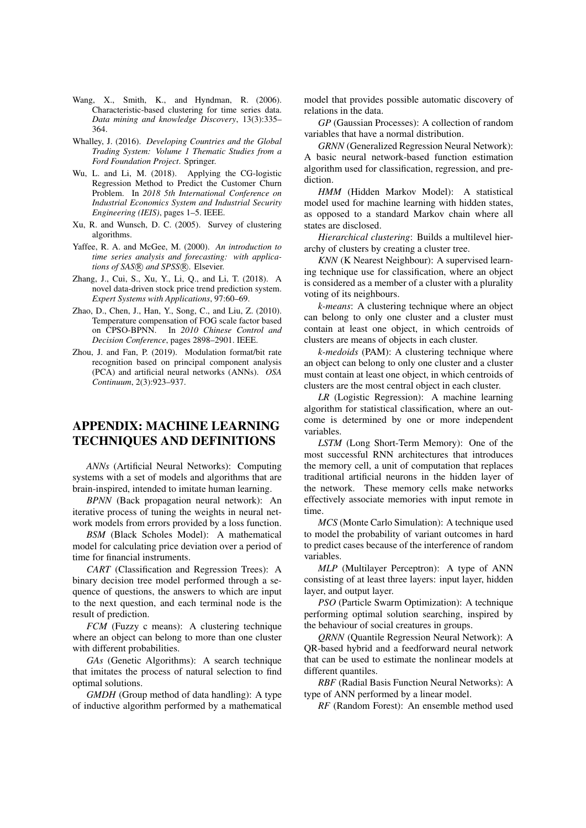- Wang, X., Smith, K., and Hyndman, R. (2006). Characteristic-based clustering for time series data. *Data mining and knowledge Discovery*, 13(3):335– 364.
- Whalley, J. (2016). *Developing Countries and the Global Trading System: Volume 1 Thematic Studies from a Ford Foundation Project*. Springer.
- Wu, L. and Li, M. (2018). Applying the CG-logistic Regression Method to Predict the Customer Churn Problem. In *2018 5th International Conference on Industrial Economics System and Industrial Security Engineering (IEIS)*, pages 1–5. IEEE.
- Xu, R. and Wunsch, D. C. (2005). Survey of clustering algorithms.
- Yaffee, R. A. and McGee, M. (2000). *An introduction to time series analysis and forecasting: with applications of SAS®* and SPSS®. Elsevier.
- Zhang, J., Cui, S., Xu, Y., Li, Q., and Li, T. (2018). A novel data-driven stock price trend prediction system. *Expert Systems with Applications*, 97:60–69.
- Zhao, D., Chen, J., Han, Y., Song, C., and Liu, Z. (2010). Temperature compensation of FOG scale factor based on CPSO-BPNN. In *2010 Chinese Control and Decision Conference*, pages 2898–2901. IEEE.
- Zhou, J. and Fan, P. (2019). Modulation format/bit rate recognition based on principal component analysis (PCA) and artificial neural networks (ANNs). *OSA Continuum*, 2(3):923–937.

# APPENDIX: MACHINE LEARNING TECHNIQUES AND DEFINITIONS

*ANNs* (Artificial Neural Networks): Computing systems with a set of models and algorithms that are brain-inspired, intended to imitate human learning.

*BPNN* (Back propagation neural network): An iterative process of tuning the weights in neural network models from errors provided by a loss function.

*BSM* (Black Scholes Model): A mathematical model for calculating price deviation over a period of time for financial instruments.

*CART* (Classification and Regression Trees): A binary decision tree model performed through a sequence of questions, the answers to which are input to the next question, and each terminal node is the result of prediction.

*FCM* (Fuzzy c means): A clustering technique where an object can belong to more than one cluster with different probabilities.

*GAs* (Genetic Algorithms): A search technique that imitates the process of natural selection to find optimal solutions.

*GMDH* (Group method of data handling): A type of inductive algorithm performed by a mathematical model that provides possible automatic discovery of relations in the data.

*GP* (Gaussian Processes): A collection of random variables that have a normal distribution.

*GRNN* (Generalized Regression Neural Network): A basic neural network-based function estimation algorithm used for classification, regression, and prediction.

*HMM* (Hidden Markov Model): A statistical model used for machine learning with hidden states, as opposed to a standard Markov chain where all states are disclosed.

*Hierarchical clustering*: Builds a multilevel hierarchy of clusters by creating a cluster tree.

*KNN* (K Nearest Neighbour): A supervised learning technique use for classification, where an object is considered as a member of a cluster with a plurality voting of its neighbours.

*k-means*: A clustering technique where an object can belong to only one cluster and a cluster must contain at least one object, in which centroids of clusters are means of objects in each cluster.

*k-medoids* (PAM): A clustering technique where an object can belong to only one cluster and a cluster must contain at least one object, in which centroids of clusters are the most central object in each cluster.

*LR* (Logistic Regression): A machine learning algorithm for statistical classification, where an outcome is determined by one or more independent variables.

*LSTM* (Long Short-Term Memory): One of the most successful RNN architectures that introduces the memory cell, a unit of computation that replaces traditional artificial neurons in the hidden layer of the network. These memory cells make networks effectively associate memories with input remote in time.

*MCS* (Monte Carlo Simulation): A technique used to model the probability of variant outcomes in hard to predict cases because of the interference of random variables.

*MLP* (Multilayer Perceptron): A type of ANN consisting of at least three layers: input layer, hidden layer, and output layer.

*PSO* (Particle Swarm Optimization): A technique performing optimal solution searching, inspired by the behaviour of social creatures in groups.

*QRNN* (Quantile Regression Neural Network): A QR-based hybrid and a feedforward neural network that can be used to estimate the nonlinear models at different quantiles.

*RBF* (Radial Basis Function Neural Networks): A type of ANN performed by a linear model.

*RF* (Random Forest): An ensemble method used